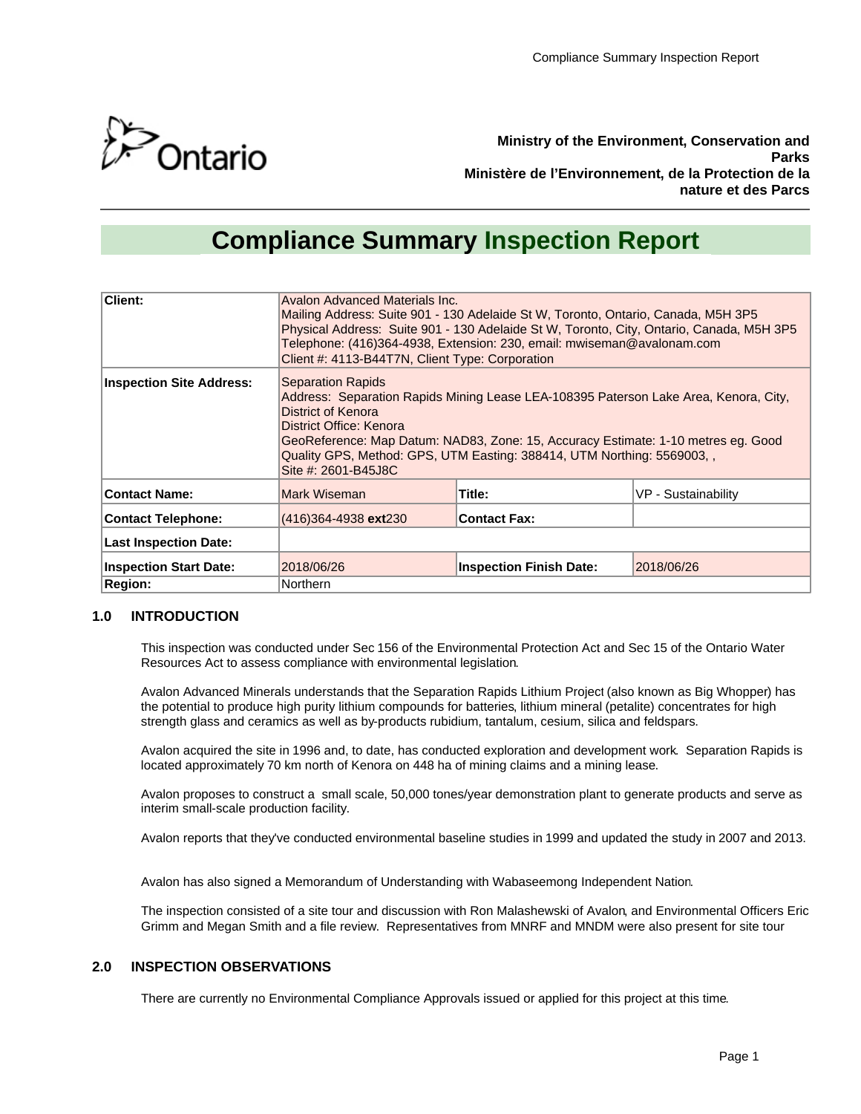

**Ministry of the Environment, Conservation and Parks Ministère de l'Environnement, de la Protection de la nature et des Parcs**

# **Compliance Summary Inspection Report**

| <b>Client:</b>                  | Avalon Advanced Materials Inc.<br>Mailing Address: Suite 901 - 130 Adelaide St W, Toronto, Ontario, Canada, M5H 3P5<br>Physical Address: Suite 901 - 130 Adelaide St W, Toronto, City, Ontario, Canada, M5H 3P5<br>Telephone: (416)364-4938, Extension: 230, email: mwiseman@avalonam.com<br>Client #: 4113-B44T7N, Client Type: Corporation             |                                |                     |
|---------------------------------|----------------------------------------------------------------------------------------------------------------------------------------------------------------------------------------------------------------------------------------------------------------------------------------------------------------------------------------------------------|--------------------------------|---------------------|
| <b>Inspection Site Address:</b> | <b>Separation Rapids</b><br>Address: Separation Rapids Mining Lease LEA-108395 Paterson Lake Area, Kenora, City,<br>District of Kenora<br>District Office: Kenora<br>GeoReference: Map Datum: NAD83, Zone: 15, Accuracy Estimate: 1-10 metres eg. Good<br>Quality GPS, Method: GPS, UTM Easting: 388414, UTM Northing: 5569003, ,<br>Site #: 2601-B45J8C |                                |                     |
| <b>Contact Name:</b>            | Mark Wiseman                                                                                                                                                                                                                                                                                                                                             | Title:                         | VP - Sustainability |
| <b>Contact Telephone:</b>       | (416)364-4938 ext230                                                                                                                                                                                                                                                                                                                                     | <b>Contact Fax:</b>            |                     |
| <b>Last Inspection Date:</b>    |                                                                                                                                                                                                                                                                                                                                                          |                                |                     |
| <b>Inspection Start Date:</b>   | 2018/06/26                                                                                                                                                                                                                                                                                                                                               | <b>Inspection Finish Date:</b> | 2018/06/26          |
| <b>Region:</b>                  | Northern                                                                                                                                                                                                                                                                                                                                                 |                                |                     |

## **1.0 INTRODUCTION**

This inspection was conducted under Sec 156 of the Environmental Protection Act and Sec 15 of the Ontario Water Resources Act to assess compliance with environmental legislation.

Avalon Advanced Minerals understands that the Separation Rapids Lithium Project (also known as Big Whopper) has the potential to produce high purity lithium compounds for batteries, lithium mineral (petalite) concentrates for high strength glass and ceramics as well as by-products rubidium, tantalum, cesium, silica and feldspars.

Avalon acquired the site in 1996 and, to date, has conducted exploration and development work. Separation Rapids is located approximately 70 km north of Kenora on 448 ha of mining claims and a mining lease.

Avalon proposes to construct a small scale, 50,000 tones/year demonstration plant to generate products and serve as interim small-scale production facility.

Avalon reports that they've conducted environmental baseline studies in 1999 and updated the study in 2007 and 2013.

Avalon has also signed a Memorandum of Understanding with Wabaseemong Independent Nation.

The inspection consisted of a site tour and discussion with Ron Malashewski of Avalon, and Environmental Officers Eric Grimm and Megan Smith and a file review. Representatives from MNRF and MNDM were also present for site tour

# **2.0 INSPECTION OBSERVATIONS**

There are currently no Environmental Compliance Approvals issued or applied for this project at this time.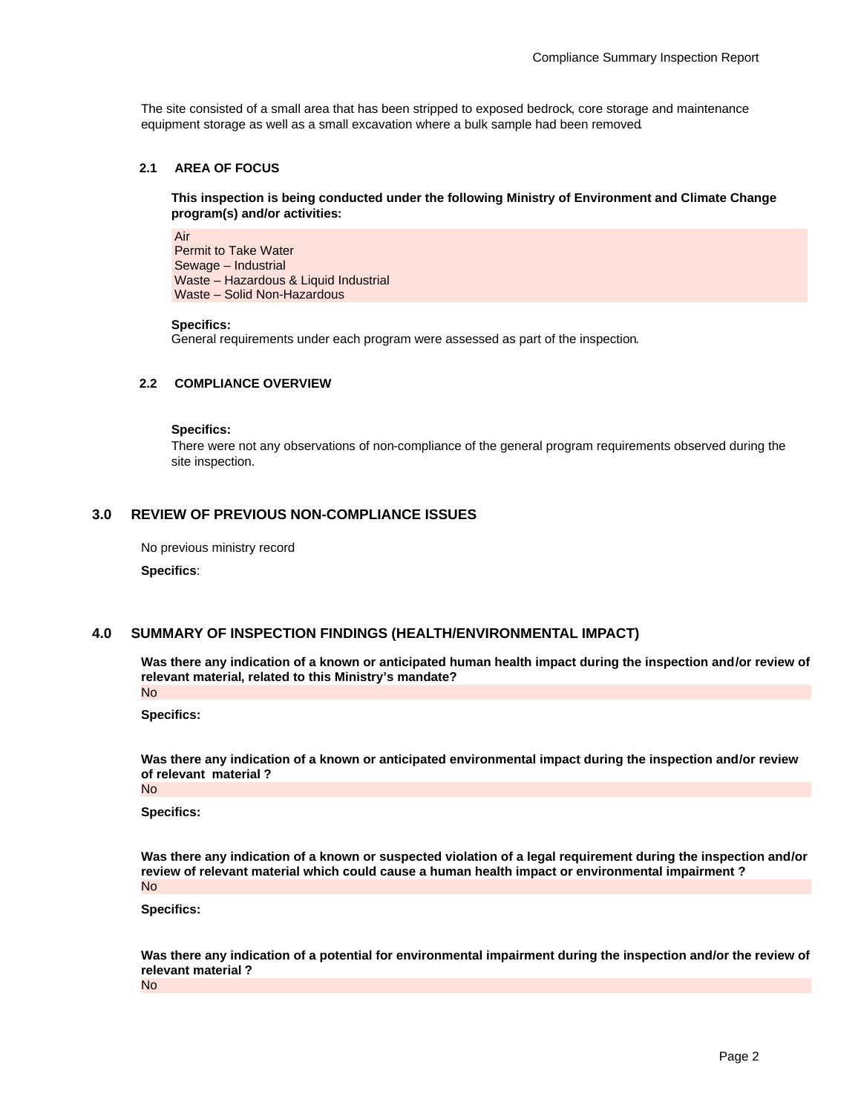The site consisted of a small area that has been stripped to exposed bedrock, core storage and maintenance equipment storage as well as a small excavation where a bulk sample had been removed.

## **2.1 AREA OF FOCUS**

**This inspection is being conducted under the following Ministry of Environment and Climate Change program(s) and/or activities:**

Air Permit to Take Water Sewage – Industrial Waste – Hazardous & Liquid Industrial Waste – Solid Non-Hazardous

#### **Specifics:**

General requirements under each program were assessed as part of the inspection.

#### **2.2 COMPLIANCE OVERVIEW**

**Specifics:**

There were not any observations of non-compliance of the general program requirements observed during the site inspection.

## **3.0 REVIEW OF PREVIOUS NON-COMPLIANCE ISSUES**

No previous ministry record

**Specifics**:

## **4.0 SUMMARY OF INSPECTION FINDINGS (HEALTH/ENVIRONMENTAL IMPACT)**

**Was there any indication of a known or anticipated human health impact during the inspection and/or review of relevant material, related to this Ministry's mandate?** No

**Specifics:**

**Was there any indication of a known or anticipated environmental impact during the inspection and/or review of relevant material ?** No

**Specifics:**

**Was there any indication of a known or suspected violation of a legal requirement during the inspection and/or review of relevant material which could cause a human health impact or environmental impairment ?** No

**Specifics:**

**Was there any indication of a potential for environmental impairment during the inspection and/or the review of relevant material ?**

No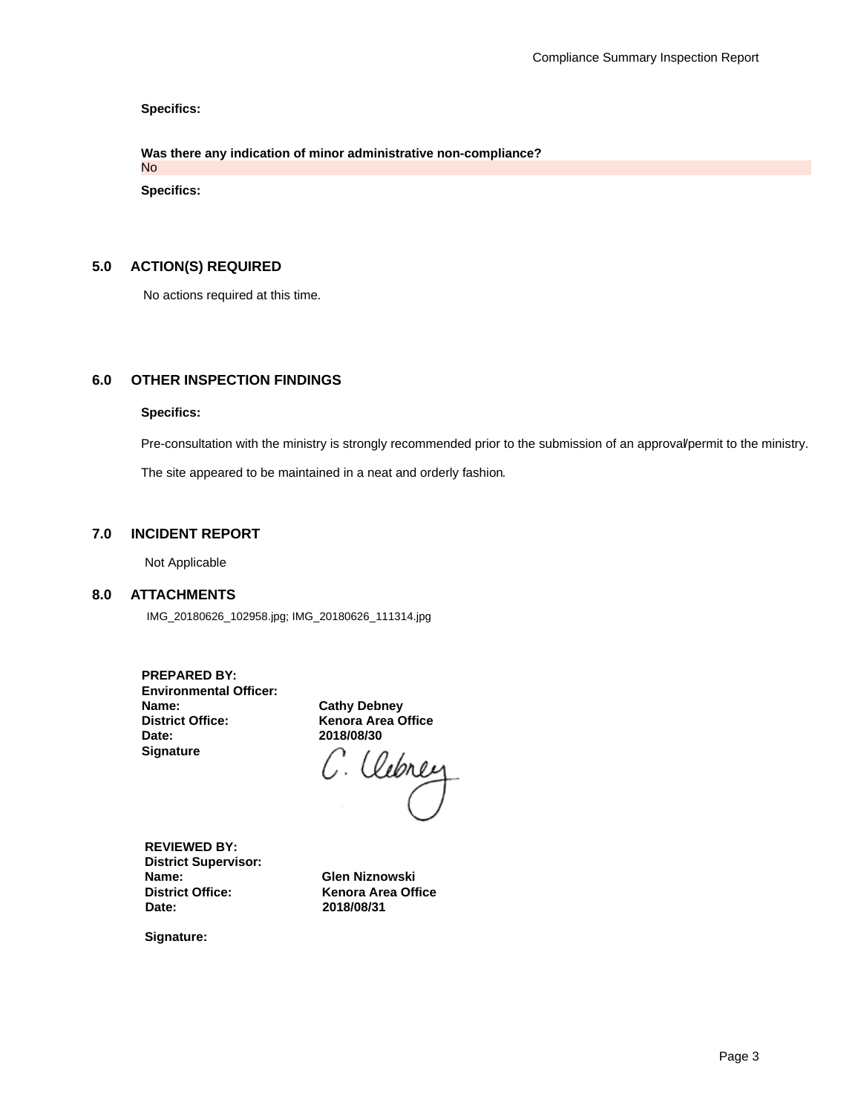**Specifics:**

**Was there any indication of minor administrative non-compliance?** No

**Specifics:**

## **5.0 ACTION(S) REQUIRED**

No actions required at this time.

## **6.0 OTHER INSPECTION FINDINGS**

#### **Specifics:**

Pre-consultation with the ministry is strongly recommended prior to the submission of an approval/permit to the ministry.

The site appeared to be maintained in a neat and orderly fashion.

## **7.0 INCIDENT REPORT**

Not Applicable

#### **8.0 ATTACHMENTS**

IMG\_20180626\_102958.jpg; IMG\_20180626\_111314.jpg

| <b>PREPARED BY:</b>           |
|-------------------------------|
| <b>Environmental Officer:</b> |
| Name:                         |
| <b>District Office:</b>       |
| Date:                         |
| <b>Signature</b>              |

**Cathy Debney Kenora Area Office** 

2018/08/30<br>C. *Clebrey* 

**REVIEWED BY: District Supervisor: Name: Glen Niznowski District Office:** Kenora Area Office<br> **Date:** 2018/08/31

**Date: 2018/08/31**

**Signature:**